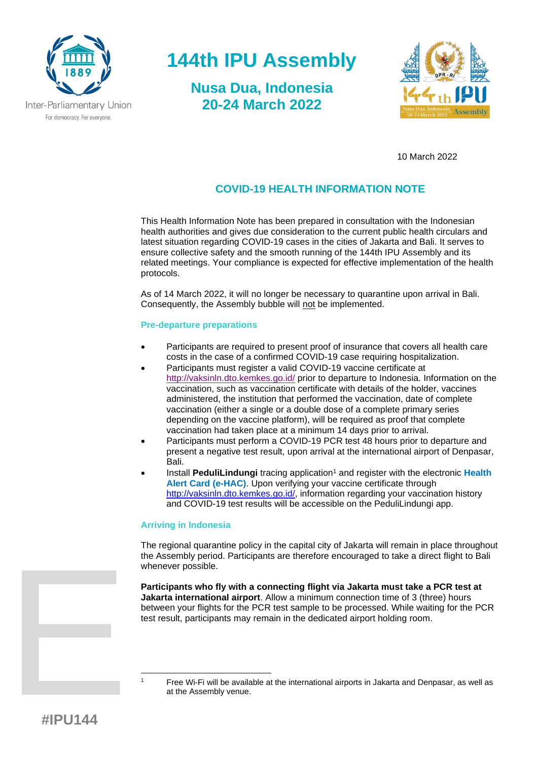

## **144th IPU Assembly**

**Nusa Dua, Indonesia 20-24 March 2022**



10 March 2022

## **COVID-19 HEALTH INFORMATION NOTE**

This Health Information Note has been prepared in consultation with the Indonesian health authorities and gives due consideration to the current public health circulars and latest situation regarding COVID-19 cases in the cities of Jakarta and Bali. It serves to ensure collective safety and the smooth running of the 144th IPU Assembly and its related meetings. Your compliance is expected for effective implementation of the health protocols.

As of 14 March 2022, it will no longer be necessary to quarantine upon arrival in Bali. Consequently, the Assembly bubble will not be implemented.

#### **Pre-departure preparations**

- Participants are required to present proof of insurance that covers all health care costs in the case of a confirmed COVID-19 case requiring hospitalization.
- Participants must register a valid COVID-19 vaccine certificate at <http://vaksinln.dto.kemkes.go.id/> prior to departure to Indonesia. Information on the vaccination, such as vaccination certificate with details of the holder, vaccines administered, the institution that performed the vaccination, date of complete vaccination (either a single or a double dose of a complete primary series depending on the vaccine platform), will be required as proof that complete vaccination had taken place at a minimum 14 days prior to arrival.
- Participants must perform a COVID-19 PCR test 48 hours prior to departure and present a negative test result, upon arrival at the international airport of Denpasar, Bali.
- Install PeduliLindungi tracing application<sup>1</sup> and register with the electronic Health **Alert Card (e-HAC)**. Upon verifying your vaccine certificate through [http://vaksinln.dto.kemkes.go.id/,](http://vaksinln.dto.kemkes.go.id/) information regarding your vaccination history and COVID-19 test results will be accessible on the PeduliLindungi app.

#### **Arriving in Indonesia**

The regional quarantine policy in the capital city of Jakarta will remain in place throughout the Assembly period. Participants are therefore encouraged to take a direct flight to Bali whenever possible.

**Participants who fly with a connecting flight via Jakarta must take a PCR test at Jakarta international airport**. Allow a minimum connection time of 3 (three) hours between your flights for the PCR test sample to be processed. While waiting for the PCR test result, participants may remain in the dedicated airport holding room.

<sup>1</sup> Free Wi-Fi will be available at the international airports in Jakarta and Denpasar, as well as at the Assembly venue.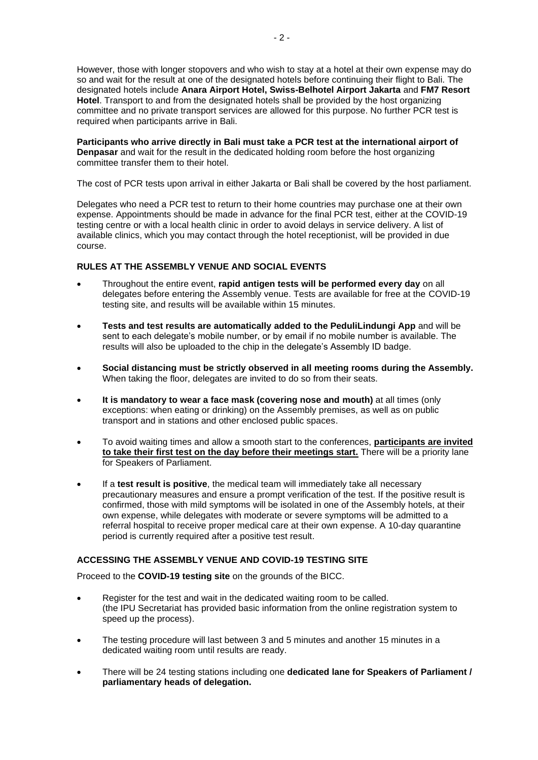However, those with longer stopovers and who wish to stay at a hotel at their own expense may do so and wait for the result at one of the designated hotels before continuing their flight to Bali. The designated hotels include **Anara Airport Hotel, Swiss-Belhotel Airport Jakarta** and **FM7 Resort Hotel**. Transport to and from the designated hotels shall be provided by the host organizing committee and no private transport services are allowed for this purpose. No further PCR test is required when participants arrive in Bali.

**Participants who arrive directly in Bali must take a PCR test at the international airport of Denpasar** and wait for the result in the dedicated holding room before the host organizing committee transfer them to their hotel.

The cost of PCR tests upon arrival in either Jakarta or Bali shall be covered by the host parliament.

Delegates who need a PCR test to return to their home countries may purchase one at their own expense. Appointments should be made in advance for the final PCR test, either at the COVID-19 testing centre or with a local health clinic in order to avoid delays in service delivery. A list of available clinics, which you may contact through the hotel receptionist, will be provided in due course.

#### **RULES AT THE ASSEMBLY VENUE AND SOCIAL EVENTS**

- Throughout the entire event, **rapid antigen tests will be performed every day** on all delegates before entering the Assembly venue. Tests are available for free at the COVID-19 testing site, and results will be available within 15 minutes.
- **Tests and test results are automatically added to the PeduliLindungi App** and will be sent to each delegate's mobile number, or by email if no mobile number is available. The results will also be uploaded to the chip in the delegate's Assembly ID badge.
- **Social distancing must be strictly observed in all meeting rooms during the Assembly.** When taking the floor, delegates are invited to do so from their seats.
- **It is mandatory to wear a face mask (covering nose and mouth)** at all times (only exceptions: when eating or drinking) on the Assembly premises, as well as on public transport and in stations and other enclosed public spaces.
- To avoid waiting times and allow a smooth start to the conferences, **participants are invited to take their first test on the day before their meetings start.** There will be a priority lane for Speakers of Parliament.
- If a **test result is positive**, the medical team will immediately take all necessary precautionary measures and ensure a prompt verification of the test. If the positive result is confirmed, those with mild symptoms will be isolated in one of the Assembly hotels, at their own expense, while delegates with moderate or severe symptoms will be admitted to a referral hospital to receive proper medical care at their own expense. A 10-day quarantine period is currently required after a positive test result.

#### **ACCESSING THE ASSEMBLY VENUE AND COVID-19 TESTING SITE**

Proceed to the **COVID-19 testing site** on the grounds of the BICC.

- Register for the test and wait in the dedicated waiting room to be called. (the IPU Secretariat has provided basic information from the online registration system to speed up the process).
- The testing procedure will last between 3 and 5 minutes and another 15 minutes in a dedicated waiting room until results are ready.
- There will be 24 testing stations including one **dedicated lane for Speakers of Parliament / parliamentary heads of delegation.**